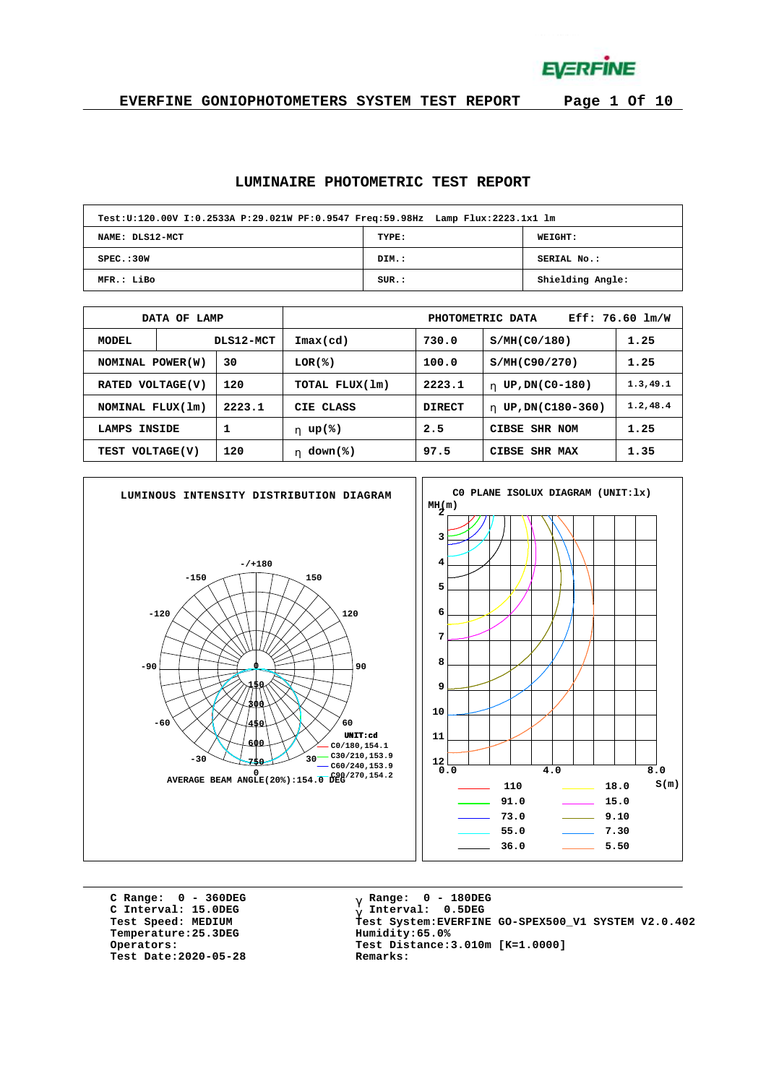**EVERFINE** 

**EVERFINE GONIOPHOTOMETERS SYSTEM TEST REPORT Page 1 Of 10**

#### **LUMINAIRE PHOTOMETRIC TEST REPORT**

| Test:U:120.00V I:0.2533A P:29.021W PF:0.9547 Freq:59.98Hz Lamp Flux:2223.1x1 lm |       |                  |
|---------------------------------------------------------------------------------|-------|------------------|
| NAME: DLS12-MCT                                                                 | TYPE: | <b>WEIGHT:</b>   |
| SPEC.:30W                                                                       | DIM.: | SERIAL No.:      |
| MFR.: LiBo                                                                      | SUR.: | Shielding Angle: |

|                            | OF LAMP<br><b>DATA</b> |               | $Eff: 76.60$ lm/W<br>PHOTOMETRIC DATA |               |                        |           |  |  |  |  |  |
|----------------------------|------------------------|---------------|---------------------------------------|---------------|------------------------|-----------|--|--|--|--|--|
| MODEL                      |                        | DLS12-MCT     | $\texttt{Imax}(\text{cd})$            | 730.0         | S/MH(C0/180)           | 1.25      |  |  |  |  |  |
| NOMINAL POWER(W)           |                        | 30            | $LOR(\mathcal{E})$                    | 100.0         | S/MH(C90/270)          | 1.25      |  |  |  |  |  |
| VOLTAGE(V)<br><b>RATED</b> |                        | 120           | TOTAL FLUX(1m)                        | 2223.1        | UP, DN(C0-180)<br>h.   | 1.3, 49.1 |  |  |  |  |  |
| NOMINAL FLUX(1m)           |                        | 2223.1        | CIE CLASS                             | <b>DIRECT</b> | UP, DN(C180-360)<br>h. | 1.2, 48.4 |  |  |  |  |  |
| 1<br>INSIDE<br>LAMPS       |                        |               | h $up$ (%)                            | 2.5           | <b>CIBSE SHR NOM</b>   | 1.25      |  |  |  |  |  |
| 120<br>TEST VOLTAGE(V)     |                        | down(%)<br>h. | 97.5                                  | CIBSE SHR MAX | 1.35                   |           |  |  |  |  |  |



**C Range: 0 - 360DEG C Interval: 15.0DEG**  $Temperature:25.3DEG$ **Test Date:2020-05-28 Remarks:**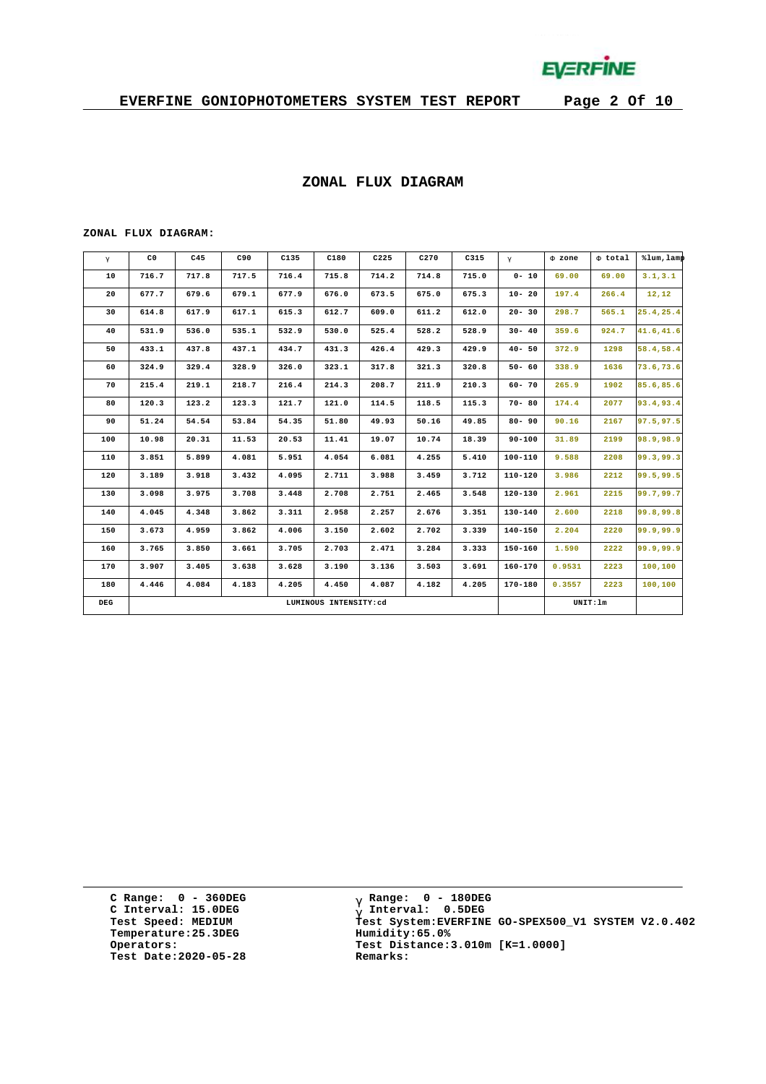

#### **ZONAL FLUX DIAGRAM**

#### **ZONAL FLUX DIAGRAM:**

| g   | C <sub>0</sub> | C45   | C90   | C135  | C180                  | C225  | C270  | C315  | $\mathsf{q}$ | F zone | F total  | %lum, lamp |
|-----|----------------|-------|-------|-------|-----------------------|-------|-------|-------|--------------|--------|----------|------------|
| 10  | 716.7          | 717.8 | 717.5 | 716.4 | 715.8                 | 714.2 | 714.8 | 715.0 | $0 - 10$     | 69.00  | 69.00    | 3.1, 3.1   |
| 20  | 677.7          | 679.6 | 679.1 | 677.9 | 676.0                 | 673.5 | 675.0 | 675.3 | $10 - 20$    | 197.4  | 266.4    | 12, 12     |
| 30  | 614.8          | 617.9 | 617.1 | 615.3 | 612.7                 | 609.0 | 611.2 | 612.0 | $20 - 30$    | 298.7  | 565.1    | 25.4,25.4  |
| 40  | 531.9          | 536.0 | 535.1 | 532.9 | 530.0                 | 525.4 | 528.2 | 528.9 | $30 - 40$    | 359.6  | 924.7    | 41.6,41.6  |
| 50  | 433.1          | 437.8 | 437.1 | 434.7 | 431.3                 | 426.4 | 429.3 | 429.9 | $40 - 50$    | 372.9  | 1298     | 58.4,58.4  |
| 60  | 324.9          | 329.4 | 328.9 | 326.0 | 323.1                 | 317.8 | 321.3 | 320.8 | $50 - 60$    | 338.9  | 1636     | 73.6,73.6  |
| 70  | 215.4          | 219.1 | 218.7 | 216.4 | 214.3                 | 208.7 | 211.9 | 210.3 | $60 - 70$    | 265.9  | 1902     | 85.6,85.6  |
| 80  | 120.3          | 123.2 | 123.3 | 121.7 | 121.0                 | 114.5 | 118.5 | 115.3 | $70 - 80$    | 174.4  | 2077     | 93.4,93.4  |
| 90  | 51.24          | 54.54 | 53.84 | 54.35 | 51.80                 | 49.93 | 50.16 | 49.85 | $80 - 90$    | 90.16  | 2167     | 97.5,97.5  |
| 100 | 10.98          | 20.31 | 11.53 | 20.53 | 11.41                 | 19.07 | 10.74 | 18.39 | $90 - 100$   | 31.89  | 2199     | 98.9,98.9  |
| 110 | 3.851          | 5.899 | 4.081 | 5.951 | 4.054                 | 6.081 | 4.255 | 5.410 | 100-110      | 9.588  | 2208     | 99.3,99.3  |
| 120 | 3.189          | 3.918 | 3.432 | 4.095 | 2.711                 | 3.988 | 3.459 | 3.712 | $110 - 120$  | 3.986  | 2212     | 99.5,99.5  |
| 130 | 3.098          | 3.975 | 3.708 | 3.448 | 2.708                 | 2.751 | 2.465 | 3.548 | $120 - 130$  | 2.961  | 2215     | 99.7,99.7  |
| 140 | 4.045          | 4.348 | 3.862 | 3.311 | 2.958                 | 2.257 | 2.676 | 3.351 | 130-140      | 2.600  | 2218     | 99.8,99.8  |
| 150 | 3.673          | 4.959 | 3.862 | 4.006 | 3.150                 | 2.602 | 2.702 | 3.339 | $140 - 150$  | 2.204  | 2220     | 99.9,99.9  |
| 160 | 3.765          | 3.850 | 3.661 | 3.705 | 2.703                 | 2.471 | 3.284 | 3.333 | $150 - 160$  | 1.590  | 2222     | 99.9,99.9  |
| 170 | 3.907          | 3.405 | 3.638 | 3.628 | 3.190                 | 3.136 | 3.503 | 3.691 | $160 - 170$  | 0.9531 | 2223     | 100,100    |
| 180 | 4.446          | 4.084 | 4.183 | 4.205 | 4.450                 | 4.087 | 4.182 | 4.205 | $170 - 180$  | 0.3557 | 2223     | 100,100    |
| DEG |                |       |       |       | LUMINOUS INTENSITY:cd |       |       |       |              |        | UNIT: 1m |            |

**C Range: 0 - 360DEG C Interval: 15.0DEG Temperature:25.3DEG Humidity:65.0% Test Date:2020-05-28 Remarks:**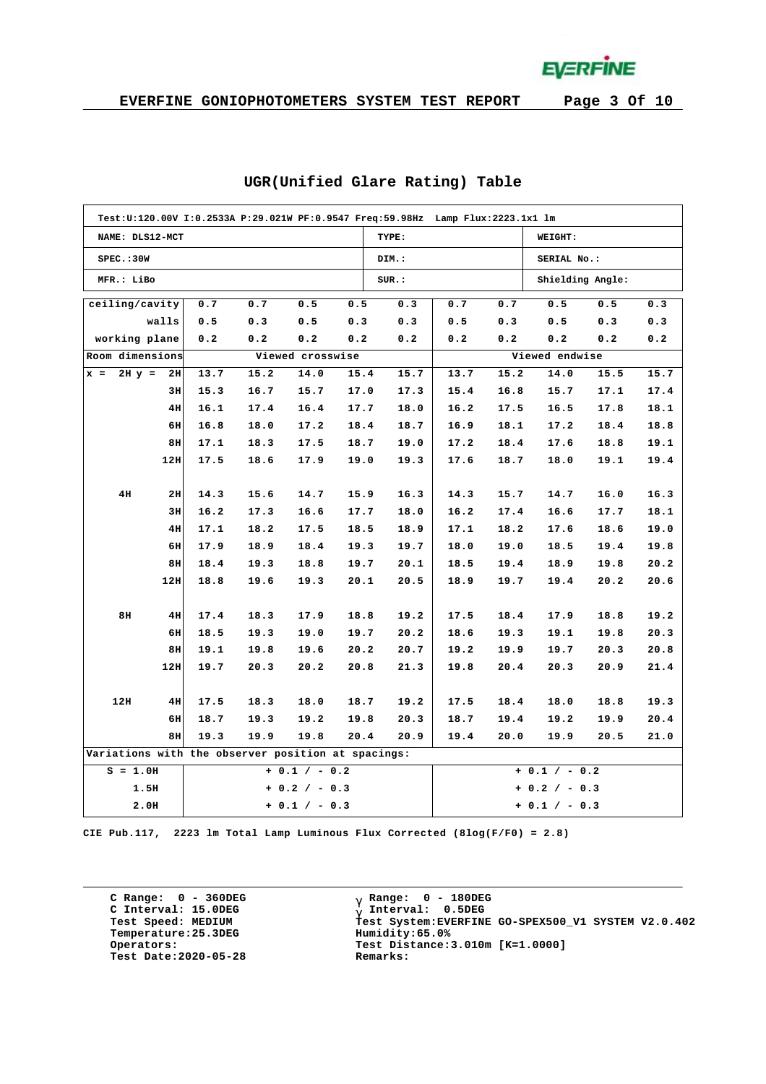**EVERFINE** 

|                                                    | Test:U:120.00V I:0.2533A P:29.021W PF:0.9547 Freq:59.98Hz Lamp Flux:2223.1x1 lm |      |      |                  |      |       |                 |      |                  |      |      |  |  |  |
|----------------------------------------------------|---------------------------------------------------------------------------------|------|------|------------------|------|-------|-----------------|------|------------------|------|------|--|--|--|
| NAME: DLS12-MCT                                    |                                                                                 |      |      |                  |      | TYPE: |                 |      | WEIGHT:          |      |      |  |  |  |
| SPEC.:30W                                          |                                                                                 |      |      |                  |      | DIM.: |                 |      | SERIAL No.:      |      |      |  |  |  |
| MFR.: LiBo                                         |                                                                                 |      |      |                  |      | SUR.: |                 |      | Shielding Angle: |      |      |  |  |  |
| ceilling/cavity                                    |                                                                                 | 0.7  | 0.7  | 0.5              | 0.5  | 0.3   | 0.7             | 0.7  | 0.5              | 0.5  | 0.3  |  |  |  |
|                                                    | walls                                                                           | 0.5  | 0.3  | 0.5              | 0.3  | 0.3   | 0.5             | 0.3  | 0.5              | 0.3  | 0.3  |  |  |  |
| working plane                                      |                                                                                 | 0.2  | 0.2  | 0.2              | 0.2  | 0.2   | 0.2             | 0.2  | 0.2              | 0.2  | 0.2  |  |  |  |
| Room dimensions                                    |                                                                                 |      |      | Viewed crosswise |      |       |                 |      | Viewed endwise   |      |      |  |  |  |
| $2H y = 2H$<br>$x =$                               |                                                                                 | 13.7 | 15.2 | 14.0             | 15.4 | 15.7  | 13.7            | 15.2 | 14.0             | 15.5 | 15.7 |  |  |  |
|                                                    | 3H                                                                              | 15.3 | 16.7 | 15.7             | 17.0 | 17.3  | 15.4            | 16.8 | 15.7             | 17.1 | 17.4 |  |  |  |
|                                                    | 4H                                                                              | 16.1 | 17.4 | 16.4             | 17.7 | 18.0  | 16.2            | 17.5 | 16.5             | 17.8 | 18.1 |  |  |  |
|                                                    | 6H                                                                              | 16.8 | 18.0 | 17.2             | 18.4 | 18.7  | 16.9            | 18.1 | 17.2             | 18.4 | 18.8 |  |  |  |
|                                                    | 8H                                                                              | 17.1 | 18.3 | 17.5             | 18.7 | 19.0  | 17.2            | 18.4 | 17.6             | 18.8 | 19.1 |  |  |  |
|                                                    | 12H                                                                             | 17.5 | 18.6 | 17.9             | 19.0 | 19.3  | 17.6            | 18.7 | 18.0             | 19.1 | 19.4 |  |  |  |
|                                                    |                                                                                 |      |      |                  |      |       |                 |      |                  |      |      |  |  |  |
| 4H                                                 | 2H                                                                              | 14.3 | 15.6 | 14.7             | 15.9 | 16.3  | 14.3            | 15.7 | 14.7             | 16.0 | 16.3 |  |  |  |
|                                                    | 3H                                                                              | 16.2 | 17.3 | 16.6             | 17.7 | 18.0  | 16.2            | 17.4 | 16.6             | 17.7 | 18.1 |  |  |  |
|                                                    | 4H                                                                              | 17.1 | 18.2 | 17.5             | 18.5 | 18.9  | 17.1            | 18.2 | 17.6             | 18.6 | 19.0 |  |  |  |
|                                                    | 6H                                                                              | 17.9 | 18.9 | 18.4             | 19.3 | 19.7  | 18.0            | 19.0 | 18.5             | 19.4 | 19.8 |  |  |  |
|                                                    | 8H                                                                              | 18.4 | 19.3 | 18.8             | 19.7 | 20.1  | 18.5            | 19.4 | 18.9             | 19.8 | 20.2 |  |  |  |
|                                                    | 12H                                                                             | 18.8 | 19.6 | 19.3             | 20.1 | 20.5  | 18.9            | 19.7 | 19.4             | 20.2 | 20.6 |  |  |  |
|                                                    |                                                                                 |      |      |                  |      |       |                 |      |                  |      |      |  |  |  |
| 8H                                                 | 4H                                                                              | 17.4 | 18.3 | 17.9             | 18.8 | 19.2  | 17.5            | 18.4 | 17.9             | 18.8 | 19.2 |  |  |  |
|                                                    | 6H                                                                              | 18.5 | 19.3 | 19.0             | 19.7 | 20.2  | 18.6            | 19.3 | 19.1             | 19.8 | 20.3 |  |  |  |
|                                                    | 8H                                                                              | 19.1 | 19.8 | 19.6             | 20.2 | 20.7  | 19.2            | 19.9 | 19.7             | 20.3 | 20.8 |  |  |  |
|                                                    | 12H                                                                             | 19.7 | 20.3 | 20.2             | 20.8 | 21.3  | 19.8            | 20.4 | 20.3             | 20.9 | 21.4 |  |  |  |
|                                                    |                                                                                 |      |      |                  |      |       |                 |      |                  |      |      |  |  |  |
| 12H                                                | 4H                                                                              | 17.5 | 18.3 | 18.0             | 18.7 | 19.2  | 17.5            | 18.4 | 18.0             | 18.8 | 19.3 |  |  |  |
|                                                    | 6H                                                                              | 18.7 | 19.3 | 19.2             | 19.8 | 20.3  | 18.7            | 19.4 | 19.2             | 19.9 | 20.4 |  |  |  |
|                                                    | 8H                                                                              | 19.3 | 19.9 | 19.8             | 20.4 | 20.9  | 19.4            | 20.0 | 19.9             | 20.5 | 21.0 |  |  |  |
| Variations with the observer position at spacings: |                                                                                 |      |      |                  |      |       |                 |      |                  |      |      |  |  |  |
| $S = 1.0H$                                         |                                                                                 |      |      | $+ 0.1 / - 0.2$  |      |       |                 |      | $+ 0.1 / - 0.2$  |      |      |  |  |  |
| 1.5H                                               |                                                                                 |      |      | $+ 0.2 / - 0.3$  |      |       | $+ 0.2 / - 0.3$ |      |                  |      |      |  |  |  |
| 2.0H                                               |                                                                                 |      |      | $+ 0.1 / - 0.3$  |      |       |                 |      | $+ 0.1 / - 0.3$  |      |      |  |  |  |

### **UGR(Unified Glare Rating) Table**

**CIE Pub.117, 2223 lm Total Lamp Luminous Flux Corrected (8log(F/F0) = 2.8)**

**C Range: 0 - 360DEG C Interval: 15.0DEG Temperature:25.3DEG Humidity:65.0% Test Date:2020-05-28 Remarks:**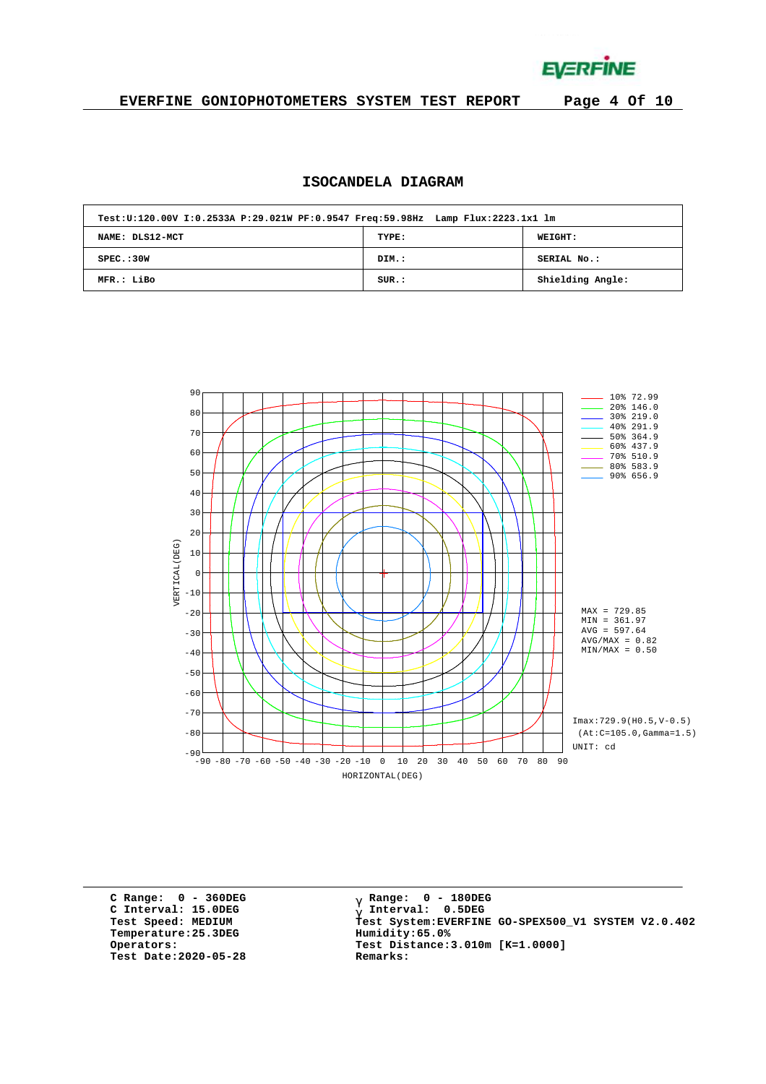**EVERFINE** 

### **EVERFINE GONIOPHOTOMETERS SYSTEM TEST REPORT Page 4 Of 10**

### **ISOCANDELA DIAGRAM**

| Test:U:120.00V I:0.2533A P:29.021W PF:0.9547 Freq:59.98Hz Lamp Flux:2223.1x1 lm |       |                  |
|---------------------------------------------------------------------------------|-------|------------------|
| NAME: DLS12-MCT                                                                 | TYPE: | <b>WEIGHT:</b>   |
| SPEC. : 30W                                                                     | DIM.: | SERIAL No.:      |
| MFR.: LiBo                                                                      | SUR.: | Shielding Angle: |



**C Range: 0 - 360DEG C Interval: 15.0DEG Temperature:25.3DEG Humidity:65.0% Test Date:2020-05-28 Remarks:**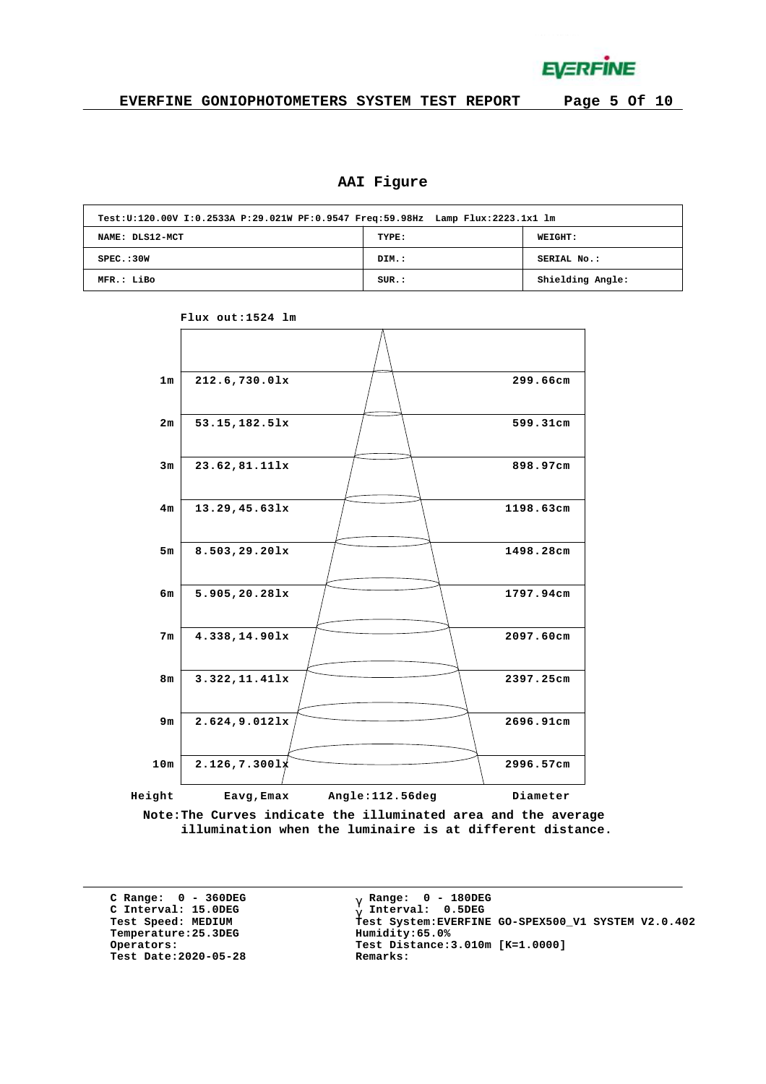

## **AAI Figure**

| Test:U:120.00V I:0.2533A P:29.021W PF:0.9547 Freq:59.98Hz Lamp Flux:2223.1x1 lm |       |                  |
|---------------------------------------------------------------------------------|-------|------------------|
| NAME: DLS12-MCT                                                                 | TYPE: | <b>WEIGHT:</b>   |
| SPEC. : 30W                                                                     | DIM.: | SERIAL No.:      |
| MFR.: LiBo                                                                      | SUR.: | Shielding Angle: |



**Flux out:1524 lm**

**Note:The Curves indicate the illuminated area and the average illumination when the luminaire is at different distance.**

**C Range: 0 - 360DEG C Interval: 15.0DEG**  $Temperature:25.3DEG$ **Test Date:2020-05-28 Remarks:**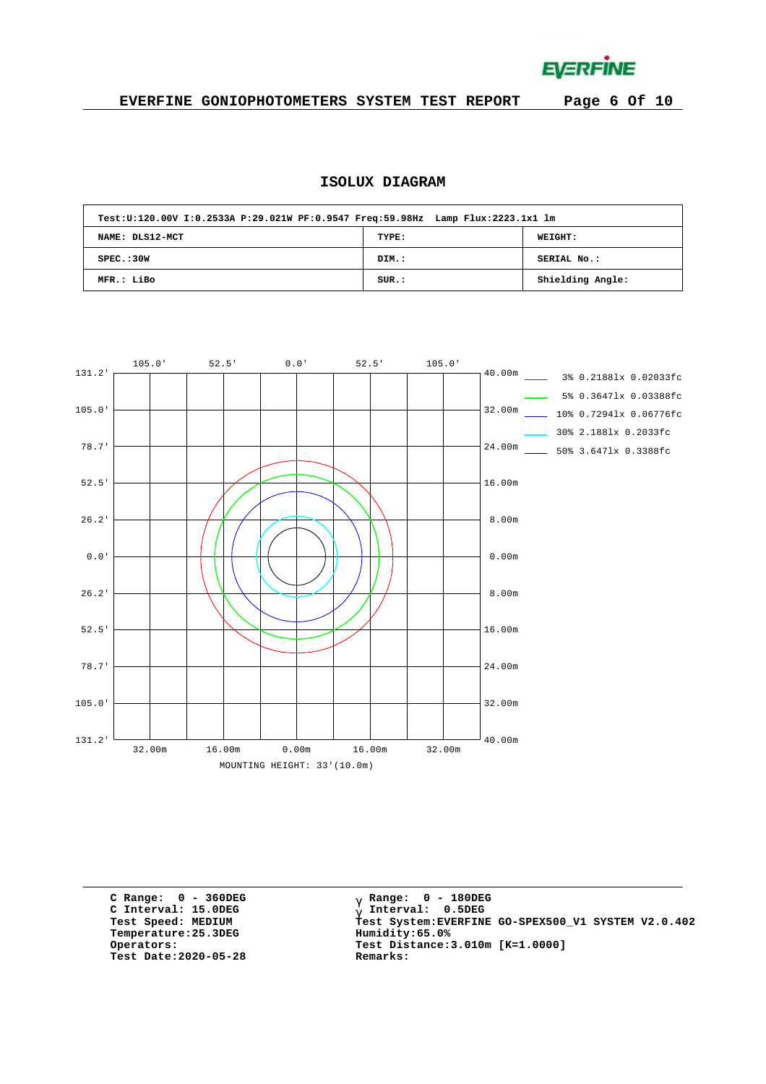**EVERFINE** 

### **EVERFINE GONIOPHOTOMETERS SYSTEM TEST REPORT Page 6 Of 10**

## **ISOLUX DIAGRAM**

| Test:U:120.00V I:0.2533A P:29.021W PF:0.9547 Freq:59.98Hz Lamp Flux:2223.1x1 lm |       |                  |
|---------------------------------------------------------------------------------|-------|------------------|
| NAME: DLS12-MCT                                                                 | TYPE: | WEIGHT:          |
| SPEC. : 30W                                                                     | DIM.: | SERIAL No.:      |
| MFR.: LiBo                                                                      | SUR.: | Shielding Angle: |



**C Range: 0 - 360DEG C Interval: 15.0DEG**  $Temperature:25.3DEG$ **Test Date:2020-05-28 Remarks:**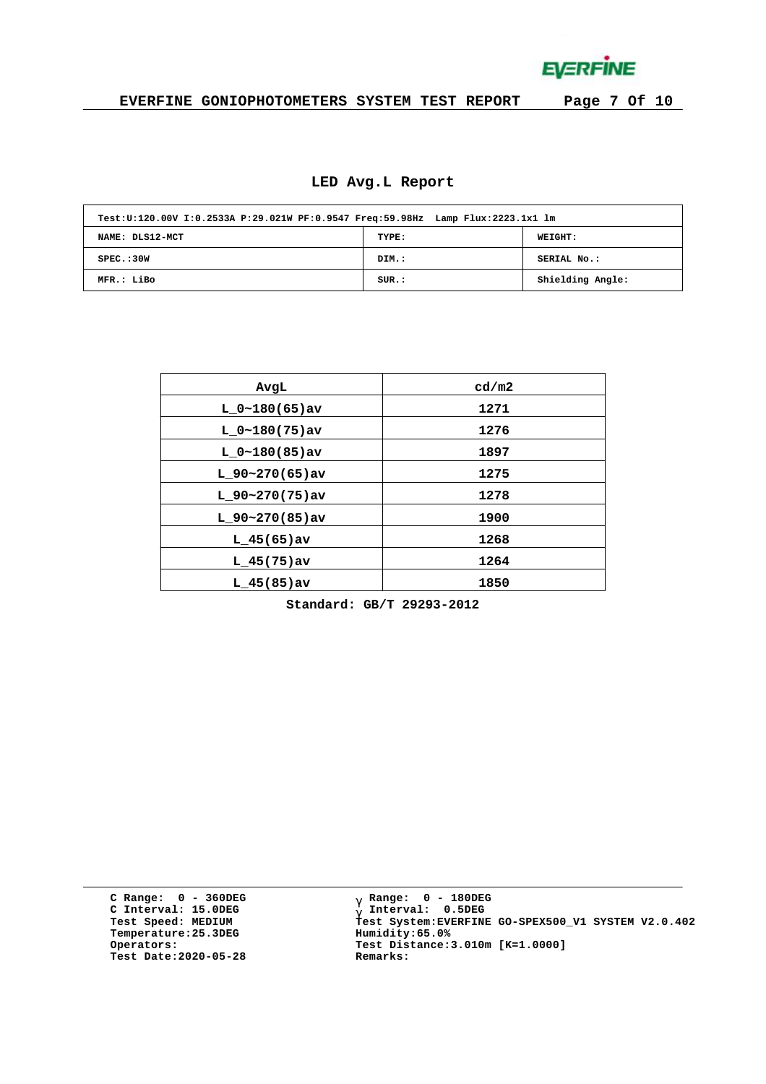**EVERFINE** 

### **EVERFINE GONIOPHOTOMETERS SYSTEM TEST REPORT Page 7 Of 10**

#### **LED Avg.L Report**

| Test:U:120.00V I:0.2533A P:29.021W PF:0.9547 Freq:59.98Hz Lamp Flux:2223.1x1 lm |       |                  |
|---------------------------------------------------------------------------------|-------|------------------|
| NAME: DLS12-MCT                                                                 | TYPE: | <b>WEIGHT:</b>   |
| SPEC. : 30W                                                                     | DIM.: | SERIAL No.:      |
| MFR.: LiBo                                                                      | SUR.: | Shielding Angle: |

| AvgL             | cd/m2 |
|------------------|-------|
| $L 0~180(65)$ av | 1271  |
| $L 0~180(75)$ av | 1276  |
| $L 0~180(85)$ av | 1897  |
| $L$ 90~270(65)av | 1275  |
| $L$ 90~270(75)av | 1278  |
| $L$ 90~270(85)av | 1900  |
| $L$ 45(65) av    | 1268  |
| $L$ 45(75)av     | 1264  |
| $L$ 45(85)av     | 1850  |

**Standard: GB/T 29293-2012**

**C Range: 0 - 360DEG C Interval: 15.0DEG Temperature:25.3DEG Humidity:65.0% Test Date:2020-05-28 Remarks:**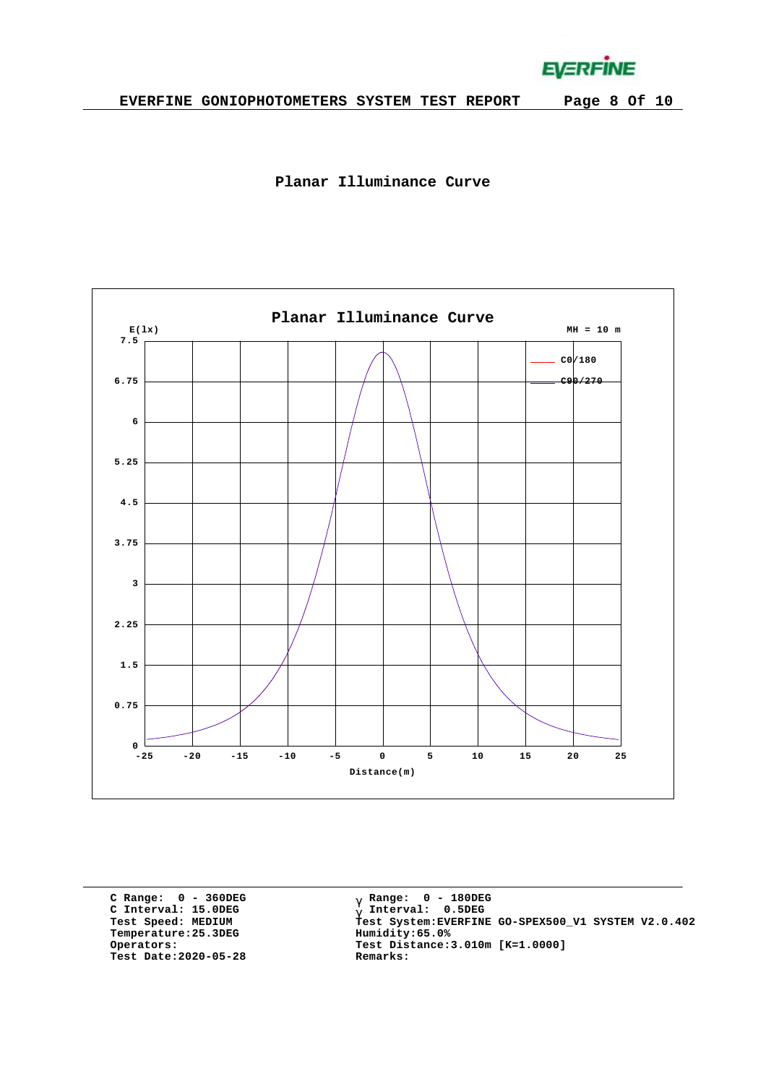**EVERFINE** 





**C Range: 0 - 360DEG C Interval: 15.0DEG Temperature:25.3DEG Humidity:65.0% Test Date:2020-05-28 Remarks:**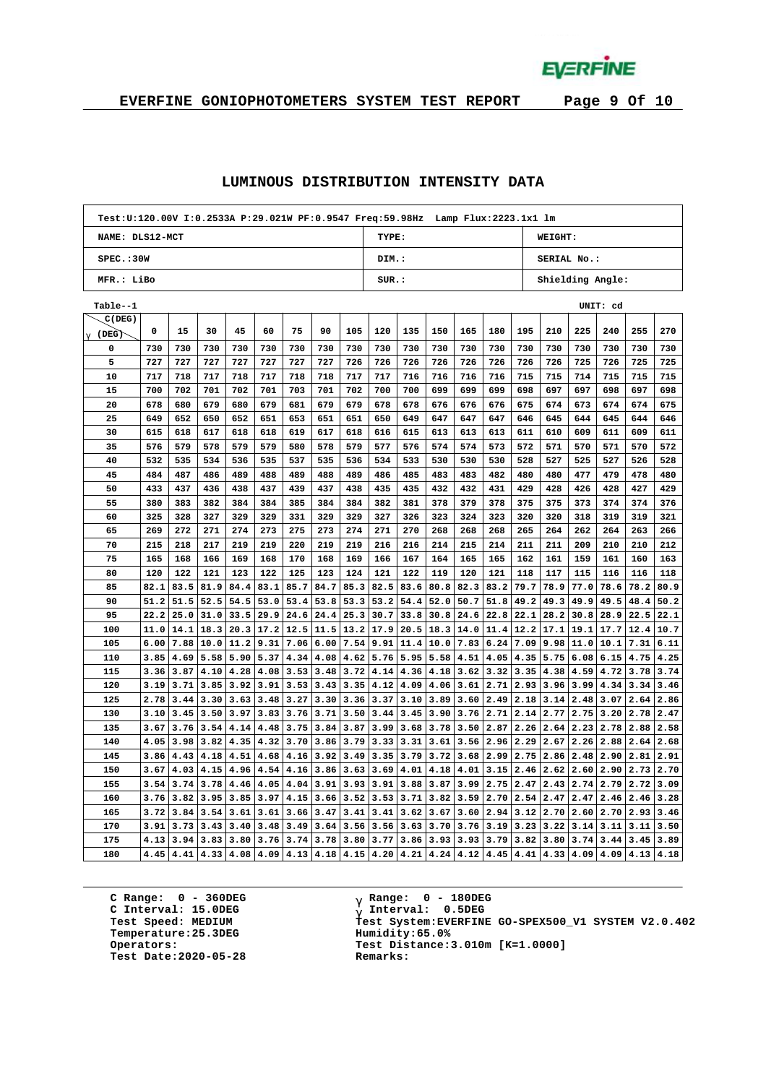**EVERFINE** 

# **EVERFINE GONIOPHOTOMETERS SYSTEM TEST REPORT Page 9 Of 10**

#### **LUMINOUS DISTRIBUTION INTENSITY DATA**

| Test:U:120.00V I:0.2533A P:29.021W PF:0.9547 Freq:59.98Hz Lamp Flux:2223.1x1 lm |      |      |      |                    |      |      |      |      |                          |      |      |      |      |      |      |      |          |      |      |  |
|---------------------------------------------------------------------------------|------|------|------|--------------------|------|------|------|------|--------------------------|------|------|------|------|------|------|------|----------|------|------|--|
| NAME: DLS12-MCT                                                                 |      |      |      |                    |      |      |      |      | TYPE:<br>WEIGHT:         |      |      |      |      |      |      |      |          |      |      |  |
| SPEC.:30W                                                                       |      |      |      |                    |      |      |      |      | DIM.:<br>SERIAL No.:     |      |      |      |      |      |      |      |          |      |      |  |
| MFR.: LiBo                                                                      |      |      |      |                    |      |      |      |      | SUR:<br>Shielding Angle: |      |      |      |      |      |      |      |          |      |      |  |
| Table--1                                                                        |      |      |      |                    |      |      |      |      |                          |      |      |      |      |      |      |      | UNIT: cd |      |      |  |
| C(DEG)                                                                          |      |      |      |                    |      |      |      |      |                          |      |      |      |      |      |      |      |          |      |      |  |
| $g$ (DEG)                                                                       | 0    | 15   | 30   | 45                 | 60   | 75   | 90   | 105  | 120                      | 135  | 150  | 165  | 180  | 195  | 210  | 225  | 240      | 255  | 270  |  |
| 0                                                                               | 730  | 730  | 730  | 730                | 730  | 730  | 730  | 730  | 730                      | 730  | 730  | 730  | 730  | 730  | 730  | 730  | 730      | 730  | 730  |  |
| 5                                                                               | 727  | 727  | 727  | 727                | 727  | 727  | 727  | 726  | 726                      | 726  | 726  | 726  | 726  | 726  | 726  | 725  | 726      | 725  | 725  |  |
| 10                                                                              | 717  | 718  | 717  | 718                | 717  | 718  | 718  | 717  | 717                      | 716  | 716  | 716  | 716  | 715  | 715  | 714  | 715      | 715  | 715  |  |
| 15                                                                              | 700  | 702  | 701  | 702                | 701  | 703  | 701  | 702  | 700                      | 700  | 699  | 699  | 699  | 698  | 697  | 697  | 698      | 697  | 698  |  |
| 20                                                                              | 678  | 680  | 679  | 680                | 679  | 681  | 679  | 679  | 678                      | 678  | 676  | 676  | 676  | 675  | 674  | 673  | 674      | 674  | 675  |  |
| 25                                                                              | 649  | 652  | 650  | 652                | 651  | 653  | 651  | 651  | 650                      | 649  | 647  | 647  | 647  | 646  | 645  | 644  | 645      | 644  | 646  |  |
| 30                                                                              | 615  | 618  | 617  | 618                | 618  | 619  | 617  | 618  | 616                      | 615  | 613  | 613  | 613  | 611  | 610  | 609  | 611      | 609  | 611  |  |
| 35                                                                              | 576  | 579  | 578  | 579                | 579  | 580  | 578  | 579  | 577                      | 576  | 574  | 574  | 573  | 572  | 571  | 570  | 571      | 570  | 572  |  |
| 40                                                                              | 532  | 535  | 534  | 536                | 535  | 537  | 535  | 536  | 534                      | 533  | 530  | 530  | 530  | 528  | 527  | 525  | 527      | 526  | 528  |  |
| 45                                                                              | 484  | 487  | 486  | 489                | 488  | 489  | 488  | 489  | 486                      | 485  | 483  | 483  | 482  | 480  | 480  | 477  | 479      | 478  | 480  |  |
| 50                                                                              | 433  | 437  | 436  | 438                | 437  | 439  | 437  | 438  | 435                      | 435  | 432  | 432  | 431  | 429  | 428  | 426  | 428      | 427  | 429  |  |
| 55                                                                              | 380  | 383  | 382  | 384                | 384  | 385  | 384  | 384  | 382                      | 381  | 378  | 379  | 378  | 375  | 375  | 373  | 374      | 374  | 376  |  |
| 60                                                                              | 325  | 328  | 327  | 329                | 329  | 331  | 329  | 329  | 327                      | 326  | 323  | 324  | 323  | 320  | 320  | 318  | 319      | 319  | 321  |  |
| 65                                                                              | 269  | 272  | 271  | 274                | 273  | 275  | 273  | 274  | 271                      | 270  | 268  | 268  | 268  | 265  | 264  | 262  | 264      | 263  | 266  |  |
| 70                                                                              | 215  | 218  | 217  | 219                | 219  | 220  | 219  | 219  | 216                      | 216  | 214  | 215  | 214  | 211  | 211  | 209  | 210      | 210  | 212  |  |
| 75                                                                              | 165  | 168  | 166  | 169                | 168  | 170  | 168  | 169  | 166                      | 167  | 164  | 165  | 165  | 162  | 161  | 159  | 161      | 160  | 163  |  |
| 80                                                                              | 120  | 122  | 121  | 123                | 122  | 125  | 123  | 124  | 121                      | 122  | 119  | 120  | 121  | 118  | 117  | 115  | 116      | 116  | 118  |  |
| 85                                                                              | 82.1 | 83.5 | 81.9 | 84.4               | 83.1 | 85.7 | 84.7 | 85.3 | 82.5                     | 83.6 | 80.8 | 82.3 | 83.2 | 79.7 | 78.9 | 77.0 | 78.6     | 78.2 | 80.9 |  |
| 90                                                                              | 51.2 | 51.5 | 52.5 | 54.5               | 53.0 | 53.4 | 53.8 | 53.3 | 53.2                     | 54.4 | 52.0 | 50.7 | 51.8 | 49.2 | 49.3 | 49.9 | 49.5     | 48.4 | 50.2 |  |
| 95                                                                              | 22.2 | 25.0 | 31.0 | 33.5               | 29.9 | 24.6 | 24.4 | 25.3 | 30.7                     | 33.8 | 30.8 | 24.6 | 22.8 | 22.1 | 28.2 | 30.8 | 28.9     | 22.5 | 22.1 |  |
| 100                                                                             | 11.0 | 14.1 | 18.3 | 20.3               | 17.2 | 12.5 | 11.5 | 13.2 | 17.9                     | 20.5 | 18.3 | 14.0 | 11.4 | 12.2 | 17.1 | 19.1 | 17.7     | 12.4 | 10.7 |  |
| 105                                                                             | 6.00 | 7.88 | 10.0 | 11.2               | 9.31 | 7.06 | 6.00 | 7.54 | 9.91                     | 11.4 | 10.0 | 7.83 | 6.24 | 7.09 | 9.98 | 11.0 | 10.1     | 7.31 | 6.11 |  |
| 110                                                                             | 3.85 | 4.69 | 5.58 | 5.90               | 5.37 | 4.34 | 4.08 | 4.62 | 5.76                     | 5.95 | 5.58 | 4.51 | 4.05 | 4.35 | 5.75 | 6.08 | 6.15     | 4.75 | 4.25 |  |
| 115                                                                             | 3.36 | 3.87 | 4.10 | 4.28               | 4.08 | 3.53 | 3.48 | 3.72 | 4.14                     | 4.36 | 4.18 | 3.62 | 3.32 | 3.35 | 4.38 | 4.59 | 4.72     | 3.78 | 3.74 |  |
| 120                                                                             | 3.19 | 3.71 | 3.85 | 3.92               | 3.91 | 3.53 | 3.43 | 3.35 | 4.12                     | 4.09 | 4.06 | 3.61 | 2.71 | 2.93 | 3.96 | 3.99 | 4.34     | 3.34 | 3.46 |  |
| 125                                                                             | 2.78 | 3.44 | 3.30 | 3.63               | 3.48 | 3.27 | 3.30 | 3.36 | 3.37                     | 3.10 | 3.89 | 3.60 | 2.49 | 2.18 | 3.14 | 2.48 | 3.07     | 2.64 | 2.86 |  |
| 130                                                                             | 3.10 | 3.45 | 3.50 | 3.97               | 3.83 | 3.76 | 3.71 | 3.50 | 3.44                     | 3.45 | 3.90 | 3.76 | 2.71 | 2.14 | 2.77 | 2.75 | 3.20     | 2.78 | 2.47 |  |
| 135                                                                             | 3.67 | 3.76 | 3.54 | 4.14               | 4.48 | 3.75 | 3.84 | 3.87 | 3.99                     | 3.68 | 3.78 | 3.50 | 2.87 | 2.26 | 2.64 | 2.23 | 2.78     | 2.88 | 2.58 |  |
| 140                                                                             | 4.05 | 3.98 | 3.82 | 4.35               | 4.32 | 3.70 | 3.86 | 3.79 | 3.33                     | 3.31 | 3.61 | 3.56 | 2.96 | 2.29 | 2.67 | 2.26 | 2.88     | 2.64 | 2.68 |  |
| 145                                                                             | 3.86 | 4.43 | 4.18 | 4.51               | 4.68 | 4.16 | 3.92 | 3.49 | 3.35                     | 3.79 | 3.72 | 3.68 | 2.99 | 2.75 | 2.86 | 2.48 | 2.90     | 2.81 | 2.91 |  |
| 150                                                                             | 3.67 | 4.03 | 4.15 | 4.96               | 4.54 | 4.16 | 3.86 | 3.63 | 3.69                     | 4.01 | 4.18 | 4.01 | 3.15 | 2.46 | 2.62 | 2.60 | 2.90     | 2.73 | 2.70 |  |
| 155                                                                             | 3.54 | 3.74 | 3.78 | 4.46               | 4.05 | 4.04 | 3.91 | 3.93 | 3.91                     | 3.88 | 3.87 | 3.99 | 2.75 | 2.47 | 2.43 | 2.74 | 2.79     | 2.72 | 3.09 |  |
| 160                                                                             | 3.76 | 3.82 | 3.95 | 3.85               | 3.97 | 4.15 | 3.66 | 3.52 | 3.53                     | 3.71 | 3.82 | 3.59 | 2.70 | 2.54 | 2.47 | 2.47 | 2.46     | 2.46 | 3.28 |  |
| 165                                                                             | 3.72 | 3.84 | 3.54 | 3.61               | 3.61 | 3.66 | 3.47 | 3.41 | 3.41                     | 3.62 | 3.67 | 3.60 | 2.94 | 3.12 | 2.70 | 2.60 | 2.70     | 2.93 | 3.46 |  |
| 170                                                                             | 3.91 | 3.73 | 3.43 | 3.40               | 3.48 | 3.49 | 3.64 | 3.56 | 3.56                     | 3.63 | 3.70 | 3.76 | 3.19 | 3.23 | 3.22 | 3.14 | 3.11     | 3.11 | 3.50 |  |
| 175                                                                             | 4.13 | 3.94 | 3.83 | 3.80               | 3.76 | 3.74 | 3.78 | 3.80 | 3.77                     | 3.86 | 3.93 | 3.93 | 3.79 | 3.82 | 3.80 | 3.74 | 3.44     | 3.45 | 3.89 |  |
| 180                                                                             | 4.45 | 4.41 |      | 4.33   4.08   4.09 |      | 4.13 | 4.18 | 4.15 | 4.20                     | 4.21 | 4.24 | 4.12 | 4.45 | 4.41 | 4.33 | 4.09 | 4.09     | 4.13 | 4.18 |  |

**C Range: 0 - 360DEG C Interval: 15.0DEG Temperature:25.3DEG Humidity:65.0% Test Date:2020-05-28 Remarks:**